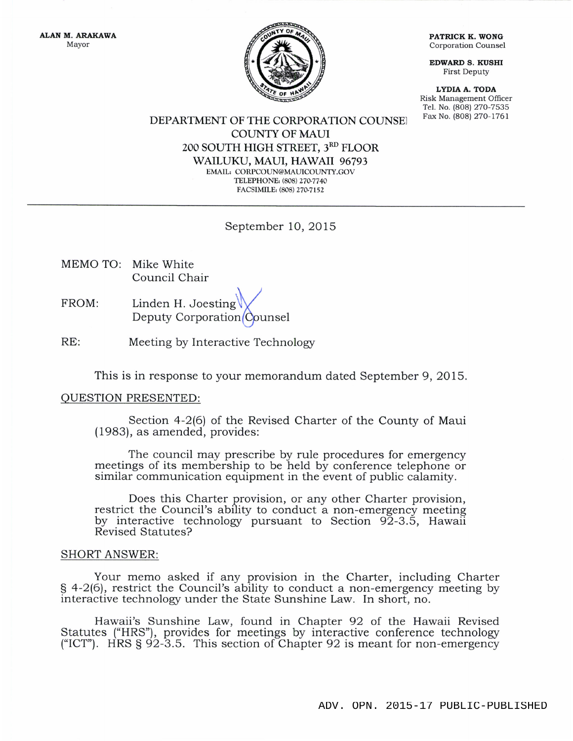TY OF

ALAN M. ARAKAWA Mayor

PATRICK K. WONG Corporation Counsel

EDWARD S. KUSHI First Deputy

LYDIA A. TODA Risk Management Olficer Tel. No. (808) 270-7535

DEPARTMENT OF THE CORPORATION COUNSE Fax No. (808) 270-1761 COLINTY OF MAUI 2OO SOUTH HIGH STREET, 3RD FLOOR WAILUKU, MAUI, HAWAII 96793 EMAIL: CORPCOUN@MAUICOUNTY.GOV TELEPHONE: (808) 270-7740 FACSIMILE: (808) 270-7152

## September 10, 2Ol5

- MEMO TO: Mike White Council Chair
- FROM: Linden H. Joesting $\bigvee$ Deputy Corporation*(C*ounse
- RE: Meeting by Interactive Technology

This is in response to your memorandum dated September 9,2015.

## QUESTION PRESENTED:

Section 4-2(6) of the Revised Charter of the County of Maui (1983), as amended, provides:

The council may prescribe by rule procedures for emergency meetings of its membership to be held by conference telephone or similar communication equipment in the event of public calamity.

Does this Charter provision, or any other Charter provision, restrict the Council's ability to conduct a non-emergency meeting by interactive technologr pursuant to Section 92-3.5, Hawaii Revised Statutes?

## SHORT ANSWER:

Your memo asked if any provision in the Charter, including Charter g 4-2(6), restrict the Council's ability to conduct a non-emergency meeting by interactive technology under the State Sunshine Law. In short, no.

Hawaii's Sunshine Law, found in Chapter 92 of the Hawaii Revised Statutes ("HRS"), provides for meetings by interactive conference technology ("ICT"). HRS  $\S 92-3.5$ . This section of Chapter 92 is meant for non-emergency